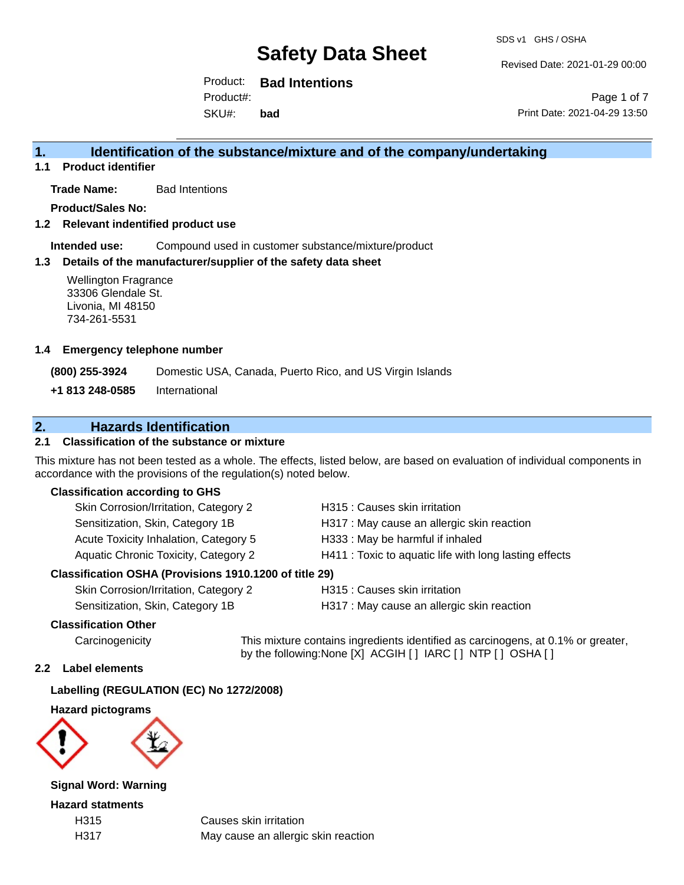#### Revised Date: 2021-01-29 00:00

Product: **Bad Intentions**

SKU#: Product#: **bad**

Page 1 of 7 Print Date: 2021-04-29 13:50

# **1. Identification of the substance/mixture and of the company/undertaking**

**1.1 Product identifier**

**Trade Name:** Bad Intentions

**Product/Sales No:**

**1.2 Relevant indentified product use**

**Intended use:** Compound used in customer substance/mixture/product

## **1.3 Details of the manufacturer/supplier of the safety data sheet**

Wellington Fragrance 33306 Glendale St. Livonia, MI 48150 734-261-5531

#### **1.4 Emergency telephone number**

**(800) 255-3924** Domestic USA, Canada, Puerto Rico, and US Virgin Islands

**+1 813 248-0585** International

# **2. Hazards Identification**

# **2.1 Classification of the substance or mixture**

This mixture has not been tested as a whole. The effects, listed below, are based on evaluation of individual components in accordance with the provisions of the regulation(s) noted below.

## **Classification according to GHS**

| Skin Corrosion/Irritation, Category 2                                                                                                                                                                                                                                                                                       | H315 : Causes skin irritation                          |
|-----------------------------------------------------------------------------------------------------------------------------------------------------------------------------------------------------------------------------------------------------------------------------------------------------------------------------|--------------------------------------------------------|
| Sensitization, Skin, Category 1B                                                                                                                                                                                                                                                                                            | H317 : May cause an allergic skin reaction             |
| Acute Toxicity Inhalation, Category 5                                                                                                                                                                                                                                                                                       | H333: May be harmful if inhaled                        |
| Aquatic Chronic Toxicity, Category 2                                                                                                                                                                                                                                                                                        | H411 : Toxic to aquatic life with long lasting effects |
| $\mathbf{r}$ $\mathbf{r}$ and $\mathbf{r}$ $\mathbf{r}$ $\mathbf{r}$ $\mathbf{r}$ $\mathbf{r}$ $\mathbf{r}$ $\mathbf{r}$ $\mathbf{r}$ $\mathbf{r}$ $\mathbf{r}$ $\mathbf{r}$ $\mathbf{r}$ $\mathbf{r}$ $\mathbf{r}$ $\mathbf{r}$ $\mathbf{r}$ $\mathbf{r}$ $\mathbf{r}$ $\mathbf{r}$ $\mathbf{r}$ $\mathbf{r}$ $\mathbf{r}$ |                                                        |

## **Classification OSHA (Provisions 1910.1200 of title 29)**

| Skin Corrosion/Irritation, Category 2 |
|---------------------------------------|
| Sensitization, Skin, Category 1B      |

H315 : Causes skin irritation

H317 : May cause an allergic skin reaction

## **Classification Other**

Carcinogenicity This mixture contains ingredients identified as carcinogens, at 0.1% or greater, by the following:None [X] ACGIH [ ] IARC [ ] NTP [ ] OSHA [ ]

## **2.2 Label elements**

## **Labelling (REGULATION (EC) No 1272/2008)**

**Hazard pictograms**



**Signal Word: Warning**

**Hazard statments**

H315 Causes skin irritation H317 May cause an allergic skin reaction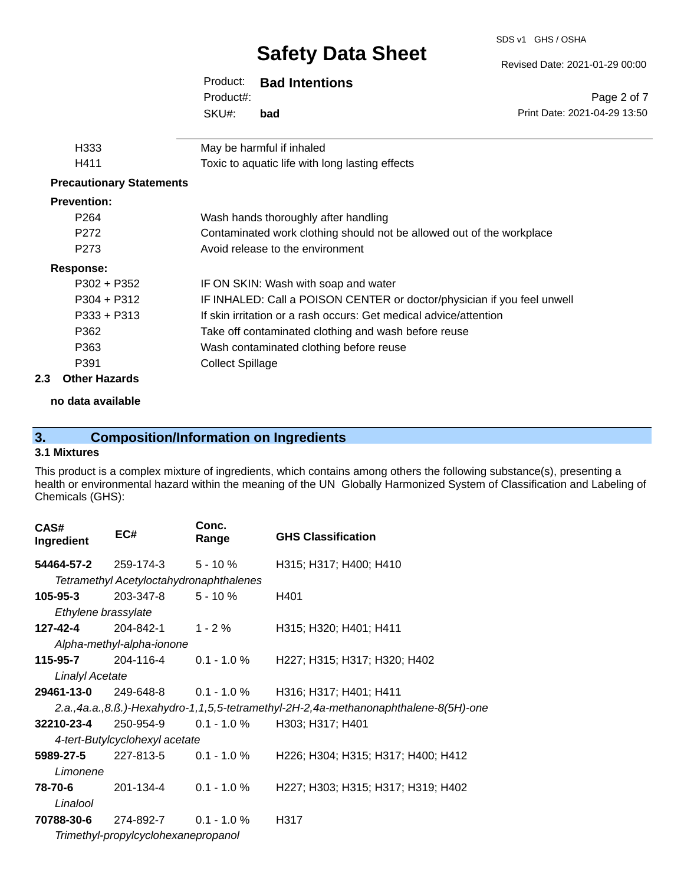SDS v1 GHS / OSHA

| Revised Date: 2021-01-29 00:00 |  |  |
|--------------------------------|--|--|
|                                |  |  |

|                                 | Product:                | <b>Bad Intentions</b>                                                   |                              |
|---------------------------------|-------------------------|-------------------------------------------------------------------------|------------------------------|
|                                 | Product#:               |                                                                         | Page 2 of 7                  |
|                                 | SKU#:                   | bad                                                                     | Print Date: 2021-04-29 13:50 |
|                                 |                         |                                                                         |                              |
| H333                            |                         | May be harmful if inhaled                                               |                              |
| H411                            |                         | Toxic to aquatic life with long lasting effects                         |                              |
| <b>Precautionary Statements</b> |                         |                                                                         |                              |
| <b>Prevention:</b>              |                         |                                                                         |                              |
| P <sub>264</sub>                |                         | Wash hands thoroughly after handling                                    |                              |
| P272                            |                         | Contaminated work clothing should not be allowed out of the workplace   |                              |
| P <sub>273</sub>                |                         | Avoid release to the environment                                        |                              |
| <b>Response:</b>                |                         |                                                                         |                              |
| $P302 + P352$                   |                         | IF ON SKIN: Wash with soap and water                                    |                              |
| $P304 + P312$                   |                         | IF INHALED: Call a POISON CENTER or doctor/physician if you feel unwell |                              |
| $P333 + P313$                   |                         | If skin irritation or a rash occurs: Get medical advice/attention       |                              |
| P362                            |                         | Take off contaminated clothing and wash before reuse                    |                              |
| P363                            |                         | Wash contaminated clothing before reuse                                 |                              |
| P391                            | <b>Collect Spillage</b> |                                                                         |                              |
| <b>Other Hazards</b>            |                         |                                                                         |                              |

**no data available**

# **3. Composition/Information on Ingredients**

## **3.1 Mixtures**

**2.3** 

This product is a complex mixture of ingredients, which contains among others the following substance(s), presenting a health or environmental hazard within the meaning of the UN Globally Harmonized System of Classification and Labeling of Chemicals (GHS):

| CAS#<br>Ingredient                  | EC#                                      | Conc.<br>Range | <b>GHS Classification</b>                                                           |  |
|-------------------------------------|------------------------------------------|----------------|-------------------------------------------------------------------------------------|--|
|                                     | 54464-57-2 $259-174-3$ 5 - 10 %          |                | H315; H317; H400; H410                                                              |  |
|                                     | Tetramethyl Acetyloctahydronaphthalenes  |                |                                                                                     |  |
| 105-95-3                            | 203-347-8                                | $5 - 10 \%$    | H401                                                                                |  |
| Ethylene brassylate                 |                                          |                |                                                                                     |  |
| 127-42-4                            | 204-842-1                                | $1 - 2 \%$     | H315; H320; H401; H411                                                              |  |
|                                     | Alpha-methyl-alpha-ionone                |                |                                                                                     |  |
| 115-95-7                            | 204-116-4                                | $0.1 - 1.0 %$  | H227; H315; H317; H320; H402                                                        |  |
| Linalyl Acetate                     |                                          |                |                                                                                     |  |
|                                     | <b>29461-13-0</b> 249-648-8  0.1 - 1.0 % |                | H316; H317; H401; H411                                                              |  |
|                                     |                                          |                | 2.a.,4a.a.,8.ß.)-Hexahydro-1,1,5,5-tetramethyl-2H-2,4a-methanonaphthalene-8(5H)-one |  |
|                                     | <b>32210-23-4</b> 250-954-9              |                | $0.1 - 1.0\%$ H303; H317; H401                                                      |  |
|                                     | 4-tert-Butylcyclohexyl acetate           |                |                                                                                     |  |
| 5989-27-5                           | 227-813-5                                | $0.1 - 1.0 \%$ | H226; H304; H315; H317; H400; H412                                                  |  |
| Limonene                            |                                          |                |                                                                                     |  |
| 78-70-6                             | 201-134-4                                | $0.1 - 1.0 \%$ | H227; H303; H315; H317; H319; H402                                                  |  |
| Linalool                            |                                          |                |                                                                                     |  |
| 70788-30-6                          | 274-892-7                                | $0.1 - 1.0 \%$ | H317                                                                                |  |
| Trimethyl-propylcyclohexanepropanol |                                          |                |                                                                                     |  |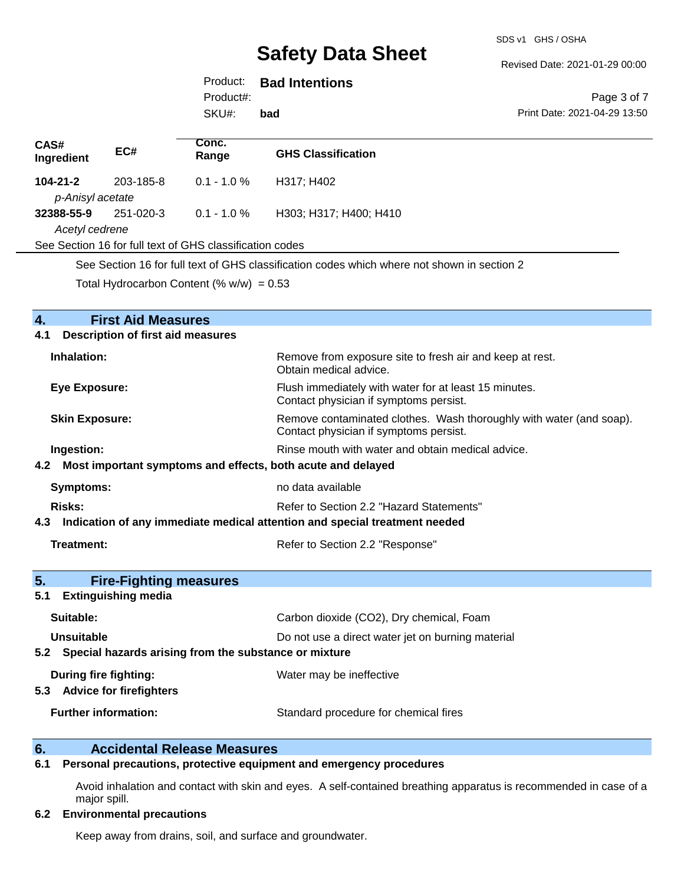#### Revised Date: 2021-01-29 00:00

# Product: **Bad Intentions**

Product#:

SKU#: **bad**

#### Page 3 of 7 Print Date: 2021-04-29 13:50

| CAS#<br>Ingredient                                                                          | EC#       | Conc.<br>Range   | <b>GHS Classification</b> |
|---------------------------------------------------------------------------------------------|-----------|------------------|---------------------------|
| $104 - 21 - 2$                                                                              | 203-185-8 | $0.1 - 1.0 \%$   | H317; H402                |
| p-Anisyl acetate                                                                            |           |                  |                           |
| 32388-55-9                                                                                  | 251-020-3 | $0.1$ - 1.0 $\%$ | H303; H317; H400; H410    |
| Acetyl cedrene                                                                              |           |                  |                           |
| See Section 16 for full text of GHS classification codes                                    |           |                  |                           |
| See Section 16 for full text of GHS classification codes which where not shown in section 2 |           |                  |                           |

Total Hydrocarbon Content (%  $w/w$ ) = 0.53

| 4.<br><b>First Aid Measures</b>                                                |                                                                                                               |  |  |
|--------------------------------------------------------------------------------|---------------------------------------------------------------------------------------------------------------|--|--|
| <b>Description of first aid measures</b><br>4.1                                |                                                                                                               |  |  |
| Inhalation:                                                                    | Remove from exposure site to fresh air and keep at rest.<br>Obtain medical advice.                            |  |  |
| <b>Eye Exposure:</b>                                                           | Flush immediately with water for at least 15 minutes.<br>Contact physician if symptoms persist.               |  |  |
| <b>Skin Exposure:</b>                                                          | Remove contaminated clothes. Wash thoroughly with water (and soap).<br>Contact physician if symptoms persist. |  |  |
| Ingestion:                                                                     | Rinse mouth with water and obtain medical advice.                                                             |  |  |
| 4.2 Most important symptoms and effects, both acute and delayed                |                                                                                                               |  |  |
| <b>Symptoms:</b>                                                               | no data available                                                                                             |  |  |
| Risks:                                                                         | Refer to Section 2.2 "Hazard Statements"                                                                      |  |  |
| 4.3 Indication of any immediate medical attention and special treatment needed |                                                                                                               |  |  |
| Treatment:                                                                     | Refer to Section 2.2 "Response"                                                                               |  |  |
| 5.<br><b>Fire-Fighting measures</b>                                            |                                                                                                               |  |  |
| <b>Extinguishing media</b><br>5.1                                              |                                                                                                               |  |  |
| Suitable:                                                                      | Carbon dioxide (CO2), Dry chemical, Foam                                                                      |  |  |
| Unsuitable                                                                     | Do not use a direct water jet on burning material                                                             |  |  |
|                                                                                | 5.2 Special hazards arising from the substance or mixture                                                     |  |  |
| During fire fighting:<br>5.3 Advice for firefighters                           | Water may be ineffective                                                                                      |  |  |
| <b>Further information:</b>                                                    | Standard procedure for chemical fires                                                                         |  |  |

# **6. Accidental Release Measures**

## **6.1 Personal precautions, protective equipment and emergency procedures**

Avoid inhalation and contact with skin and eyes. A self-contained breathing apparatus is recommended in case of a major spill.

### **6.2 Environmental precautions**

Keep away from drains, soil, and surface and groundwater.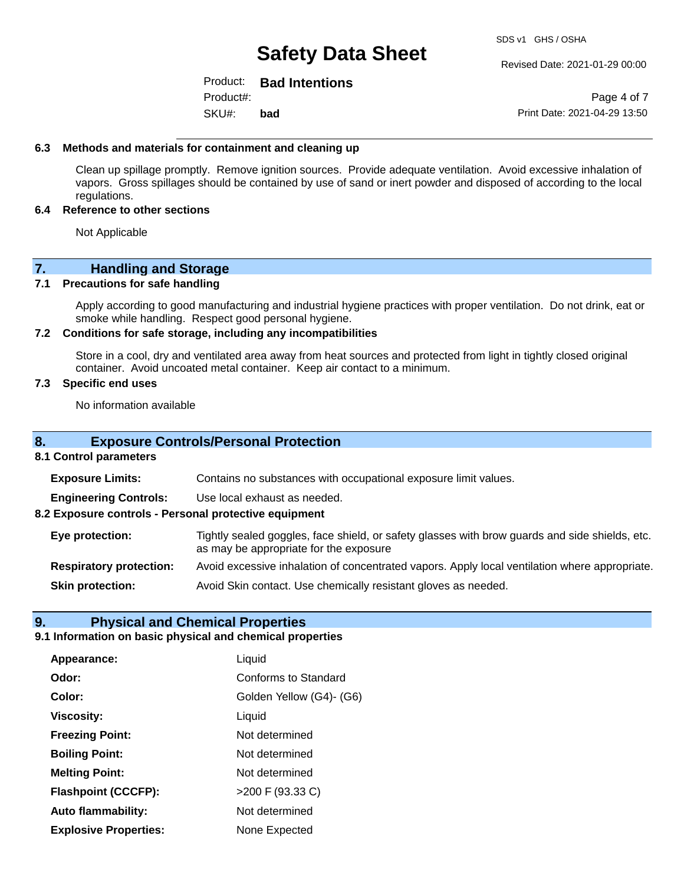#### Revised Date: 2021-01-29 00:00

#### Product: **Bad Intentions** Product#:

SKU#: **bad**

Page 4 of 7 Print Date: 2021-04-29 13:50

#### **6.3 Methods and materials for containment and cleaning up**

Clean up spillage promptly. Remove ignition sources. Provide adequate ventilation. Avoid excessive inhalation of vapors. Gross spillages should be contained by use of sand or inert powder and disposed of according to the local regulations.

#### **6.4 Reference to other sections**

Not Applicable

# **7. Handling and Storage**

#### **7.1 Precautions for safe handling**

Apply according to good manufacturing and industrial hygiene practices with proper ventilation. Do not drink, eat or smoke while handling. Respect good personal hygiene.

#### **7.2 Conditions for safe storage, including any incompatibilities**

Store in a cool, dry and ventilated area away from heat sources and protected from light in tightly closed original container. Avoid uncoated metal container. Keep air contact to a minimum.

#### **7.3 Specific end uses**

No information available

### **8. Exposure Controls/Personal Protection**

#### **8.1 Control parameters**

**Exposure Limits:** Contains no substances with occupational exposure limit values.

**Engineering Controls:** Use local exhaust as needed.

**8.2 Exposure controls - Personal protective equipment**

| Eye protection: | Tightly sealed goggles, face shield, or safety glasses with brow guards and side shields, etc. |
|-----------------|------------------------------------------------------------------------------------------------|
|                 | as may be appropriate for the exposure                                                         |

**Respiratory protection:** Avoid excessive inhalation of concentrated vapors. Apply local ventilation where appropriate.

**Skin protection:** Avoid Skin contact. Use chemically resistant gloves as needed.

## **9. Physical and Chemical Properties**

#### **9.1 Information on basic physical and chemical properties**

| Appearance:                  | Liquid                      |
|------------------------------|-----------------------------|
| Odor:                        | <b>Conforms to Standard</b> |
| Color:                       | Golden Yellow (G4)- (G6)    |
| <b>Viscosity:</b>            | Liquid                      |
| <b>Freezing Point:</b>       | Not determined              |
| <b>Boiling Point:</b>        | Not determined              |
| <b>Melting Point:</b>        | Not determined              |
| <b>Flashpoint (CCCFP):</b>   | >200 F (93.33 C)            |
| <b>Auto flammability:</b>    | Not determined              |
| <b>Explosive Properties:</b> | None Expected               |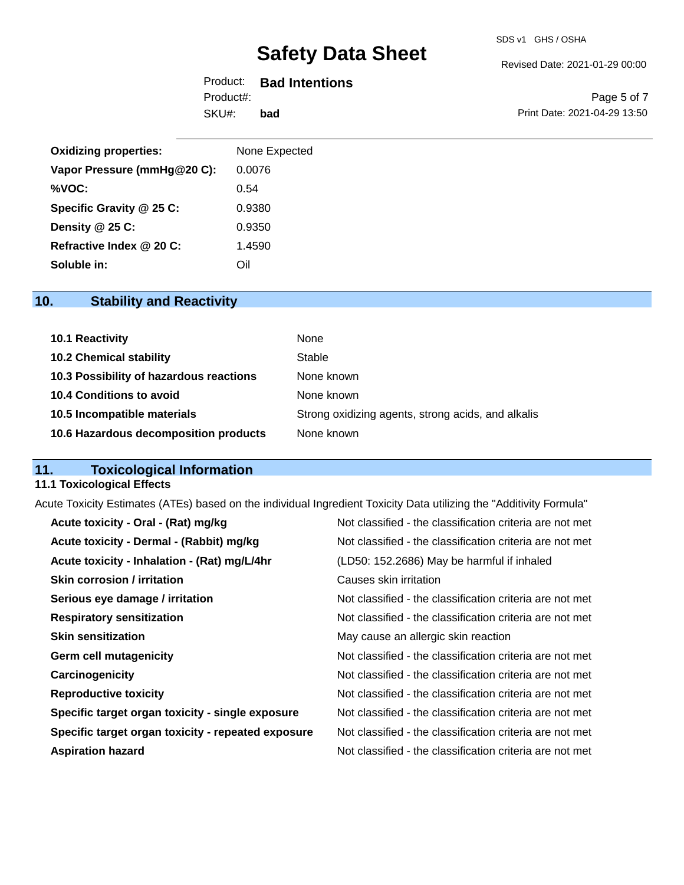#### Revised Date: 2021-01-29 00:00

# Product: **Bad Intentions** Product#:

SKU#: **bad**

Page 5 of 7 Print Date: 2021-04-29 13:50

| <b>Oxidizing properties:</b> | None Expected |
|------------------------------|---------------|
| Vapor Pressure (mmHg@20 C):  | 0.0076        |
| %VOC:                        | 0.54          |
| Specific Gravity @ 25 C:     | 0.9380        |
| Density @ 25 C:              | 0.9350        |
| Refractive Index @ 20 C:     | 1.4590        |
| Soluble in:                  | Oil           |

# **10. Stability and Reactivity**

| 10.1 Reactivity                         | None                                               |
|-----------------------------------------|----------------------------------------------------|
| <b>10.2 Chemical stability</b>          | Stable                                             |
| 10.3 Possibility of hazardous reactions | None known                                         |
| 10.4 Conditions to avoid                | None known                                         |
| 10.5 Incompatible materials             | Strong oxidizing agents, strong acids, and alkalis |
| 10.6 Hazardous decomposition products   | None known                                         |

# **11. Toxicological Information**

### **11.1 Toxicological Effects**

Acute Toxicity Estimates (ATEs) based on the individual Ingredient Toxicity Data utilizing the "Additivity Formula"

| Acute toxicity - Oral - (Rat) mg/kg                | Not classified - the classification criteria are not met |
|----------------------------------------------------|----------------------------------------------------------|
| Acute toxicity - Dermal - (Rabbit) mg/kg           | Not classified - the classification criteria are not met |
| Acute toxicity - Inhalation - (Rat) mg/L/4hr       | (LD50: 152.2686) May be harmful if inhaled               |
| <b>Skin corrosion / irritation</b>                 | Causes skin irritation                                   |
| Serious eye damage / irritation                    | Not classified - the classification criteria are not met |
| <b>Respiratory sensitization</b>                   | Not classified - the classification criteria are not met |
| <b>Skin sensitization</b>                          | May cause an allergic skin reaction                      |
| <b>Germ cell mutagenicity</b>                      | Not classified - the classification criteria are not met |
| Carcinogenicity                                    | Not classified - the classification criteria are not met |
| <b>Reproductive toxicity</b>                       | Not classified - the classification criteria are not met |
| Specific target organ toxicity - single exposure   | Not classified - the classification criteria are not met |
| Specific target organ toxicity - repeated exposure | Not classified - the classification criteria are not met |
| <b>Aspiration hazard</b>                           | Not classified - the classification criteria are not met |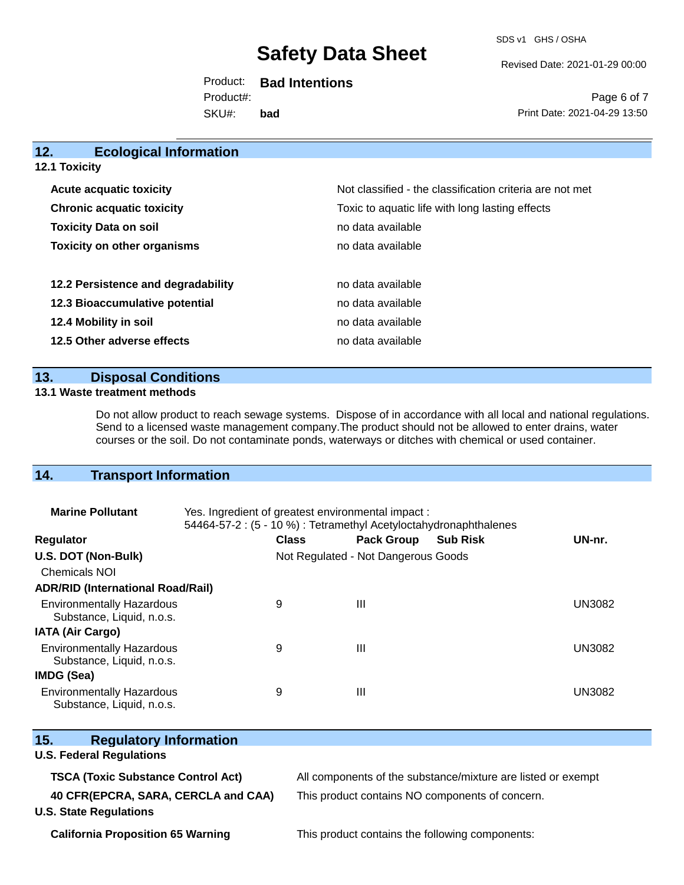SDS v1 GHS / OSHA

Revised Date: 2021-01-29 00:00

Print Date: 2021-04-29 13:50

Page 6 of 7

| Product:  | <b>Bad Intentions</b> |
|-----------|-----------------------|
| Product#: |                       |
| SKU#:     | bad                   |

**12. Ecological Information Acute acquatic toxicity**  $\qquad \qquad \qquad$  Not classified - the classification criteria are not met **Chronic acquatic toxicity Toxic to aquatic life with long lasting effects Toxicity Data on soil no data available no data available Toxicity on other organisms no data available 12.2 Persistence and degradability no data available 12.3 Bioaccumulative potential** no data available

**12.4 Mobility in soil 12.4 Mobility in soil 12.5 Other adverse effects** no data available

## **13. Disposal Conditions**

#### **13.1 Waste treatment methods**

**12.1 Toxicity**

Do not allow product to reach sewage systems. Dispose of in accordance with all local and national regulations. Send to a licensed waste management company.The product should not be allowed to enter drains, water courses or the soil. Do not contaminate ponds, waterways or ditches with chemical or used container.

# **14. Transport Information**

| <b>Marine Pollutant</b>                                       | Yes. Ingredient of greatest environmental impact:<br>54464-57-2 : (5 - 10 %) : Tetramethyl Acetyloctahydronaphthalenes |              |                                     |                 |               |
|---------------------------------------------------------------|------------------------------------------------------------------------------------------------------------------------|--------------|-------------------------------------|-----------------|---------------|
| <b>Regulator</b>                                              |                                                                                                                        | <b>Class</b> | <b>Pack Group</b>                   | <b>Sub Risk</b> | UN-nr.        |
| U.S. DOT (Non-Bulk)                                           |                                                                                                                        |              | Not Regulated - Not Dangerous Goods |                 |               |
| <b>Chemicals NOI</b>                                          |                                                                                                                        |              |                                     |                 |               |
| <b>ADR/RID (International Road/Rail)</b>                      |                                                                                                                        |              |                                     |                 |               |
| <b>Environmentally Hazardous</b><br>Substance, Liquid, n.o.s. |                                                                                                                        | 9            | $\mathbf{III}$                      |                 | <b>UN3082</b> |
| <b>IATA (Air Cargo)</b>                                       |                                                                                                                        |              |                                     |                 |               |
| <b>Environmentally Hazardous</b><br>Substance, Liquid, n.o.s. |                                                                                                                        | 9            | $\mathbf{III}$                      |                 | <b>UN3082</b> |
| <b>IMDG (Sea)</b>                                             |                                                                                                                        |              |                                     |                 |               |
| <b>Environmentally Hazardous</b><br>Substance, Liquid, n.o.s. |                                                                                                                        | 9            | $\mathbf{III}$                      |                 | UN3082        |

| 15.<br><b>Regulatory Information</b>                                 |                                                              |
|----------------------------------------------------------------------|--------------------------------------------------------------|
| <b>U.S. Federal Regulations</b>                                      |                                                              |
| <b>TSCA (Toxic Substance Control Act)</b>                            | All components of the substance/mixture are listed or exempt |
| 40 CFR(EPCRA, SARA, CERCLA and CAA)<br><b>U.S. State Regulations</b> | This product contains NO components of concern.              |
| <b>California Proposition 65 Warning</b>                             | This product contains the following components:              |